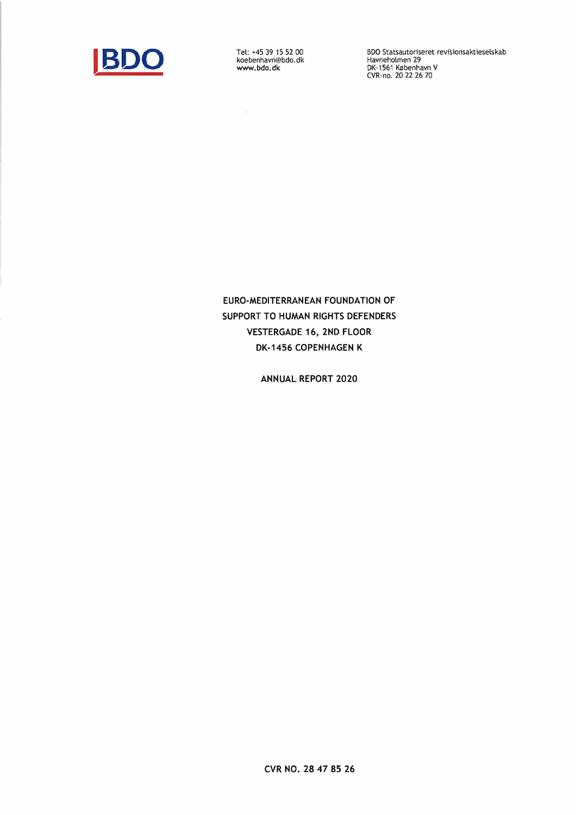

Tel: +45 39 15 52 00 koebenhavn@bdo.dk **www.bdo.dk**

 $\sim$   $\sim$ 

BDO Statsautoriseret revisionsaktieselskab Havneholmen 29 DK-1561 København **V** CVR-no. 20 22 26 70

**EURO-MEDITERRANEAN FOUNDATION OF SUPPORT TO HUMAN RIGHTS DEFENDERS VESTERGADE 16, 2ND FLOOR DK-1456 COPENHAGEN <sup>K</sup>**

**ANNUAL REPORT 2020**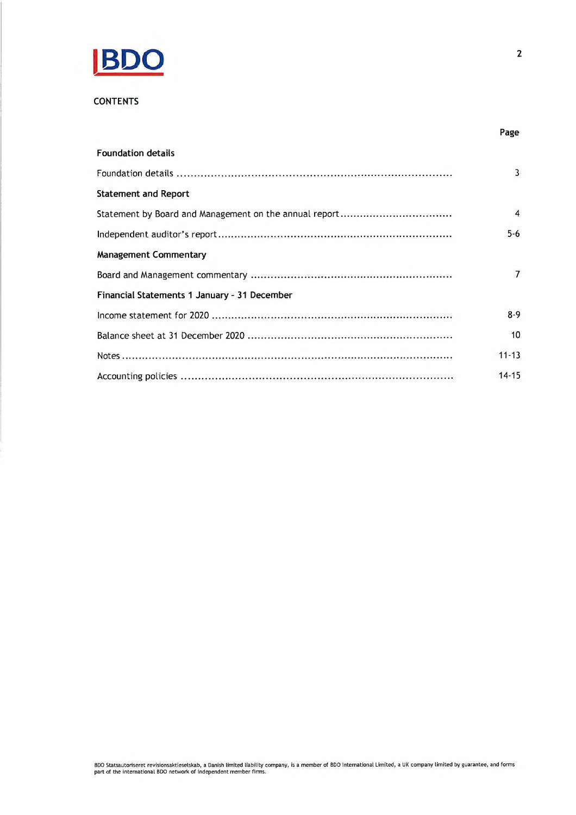

## **CONTENTS**

|                                                        | Page           |
|--------------------------------------------------------|----------------|
| <b>Foundation details</b>                              |                |
|                                                        | 3              |
| <b>Statement and Report</b>                            |                |
| Statement by Board and Management on the annual report | 4              |
|                                                        | $5 - 6$        |
| <b>Management Commentary</b>                           |                |
|                                                        | $\overline{7}$ |
| Financial Statements 1 January - 31 December           |                |
|                                                        | $8-9$          |
|                                                        | 10             |
|                                                        | $11 - 13$      |
|                                                        | $14 - 15$      |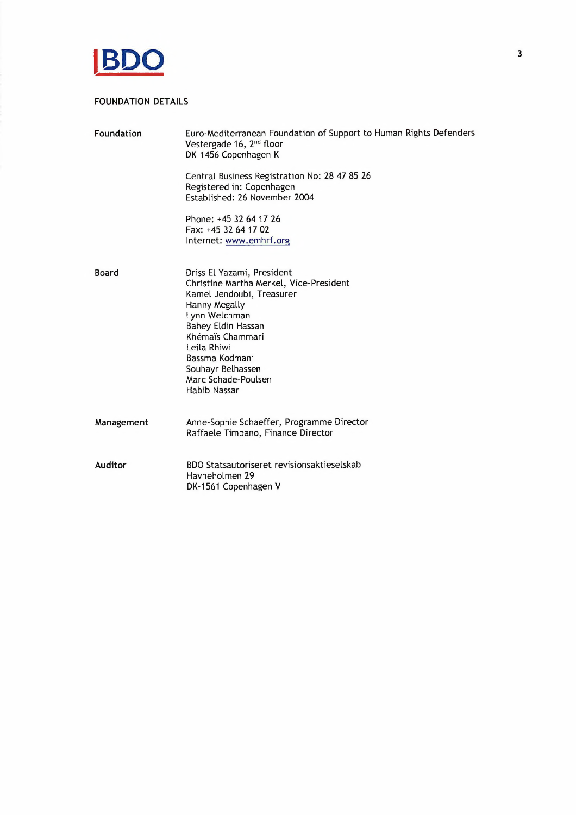

### **FOUNDATION DETAILS**

**Foundation** Euro-Mediterranean Foundation of Support to Human Rights Defenders Laro *mediterrandan'i Ga*<br>Vestergade 16, 2<sup>nd</sup> floor DK-1456 Copenhagen <sup>K</sup>

> Central Business Registration No: <sup>28</sup> <sup>47</sup> <sup>85</sup> <sup>26</sup> Registered in: Copenhagen Established: <sup>26</sup> November <sup>2004</sup>

Phone:+4532641726 Fax: +45 32 64 17 02 Internet: www.emhrf.org

- **Board** Driss El Yazami, President Christine Martha Merkel, Vice-President Kamel Jendoubi, Treasurer Hanny Megally Lynn Welchman Bahey Eldin Hassan Khémaïs Chammari Leila Rhiwi Bassma Kodmani Souhayr Belhassen Marc Schade-Poulsen Habib Nassar
- **Management** Anne-Sophie Schaeffer, Programme Director Raffaele Timpano, Finance Director
- **Auditor** BDO Statsautoriseret revisionsaktieselskab Havneholmen <sup>29</sup> DK-1561 Copenhagen **V**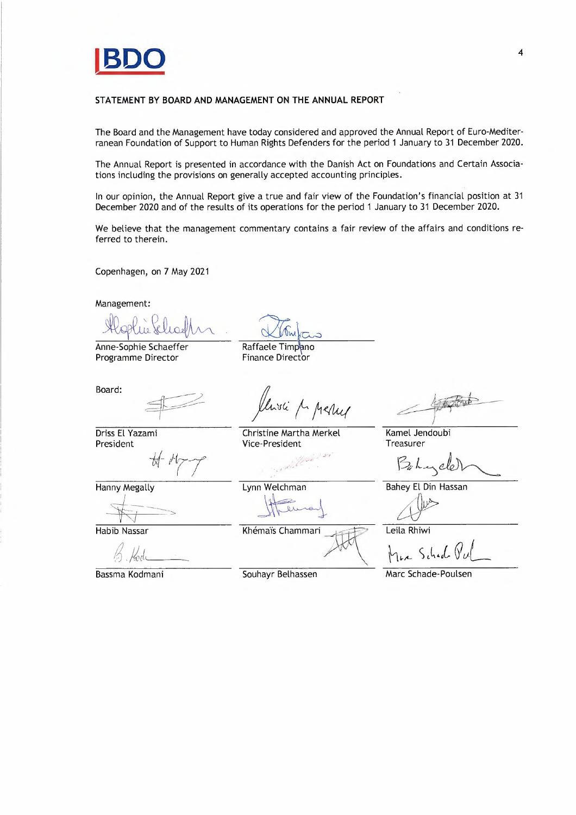

### **STATEMENT BY BOARD AND MANAGEMENT ON THE ANNUAL REPORT**

The Board and the Management have today considered and approved the Annual Report of Euro-Mediterranean Foundation of Support to Human Rights Defenders for the period <sup>1</sup> January to <sup>31</sup> December 2020.

The Annual Report is presented in accordance with the Danish Act on Foundations and Certain Associations including the provisions on generally accepted accounting principles.

In our opinion, the Annual Report give <sup>a</sup> true and fair view of the Foundation's financial position at <sup>31</sup> December 2020 and of the results of its operations for the period <sup>1</sup> January to <sup>31</sup> December 2020.

We believe that the management commentary contains <sup>a</sup> fair review of the affairs and conditions referred to therein.

Copenhagen, on 7 May 2021

Management:

Anne-Sophie Schaeffer Programme Director

 $\frac{1}{\sqrt{2\pi}}$ **Raffaele** Timpano

Finance Director

Board:

woli M Merry

Driss El Yazami President

Christine Martha Merkel Vice-President

Kamel Jendoubi Treasurer

Bahyel

Hanny Megally . -<sup>I</sup> ----.:::\_. *J*

Habib Nassar

Bassma Kodmani

Souhayr Belhassen

 $Lynn~Welchman~\n $\sqrt{1 + \frac{1}{2} \left(1 + \frac{1}{2} \left(1 + \frac{1}{2} \right)\right)}$$ 

Lynn Welchman<br>Alexandre Chammari<br>Khémaïs Chammari

Bahey El Din Hassan *¿~* Leila Rhiwi Max Sched Pu

Marc Schade-Poulsen

*.Y,*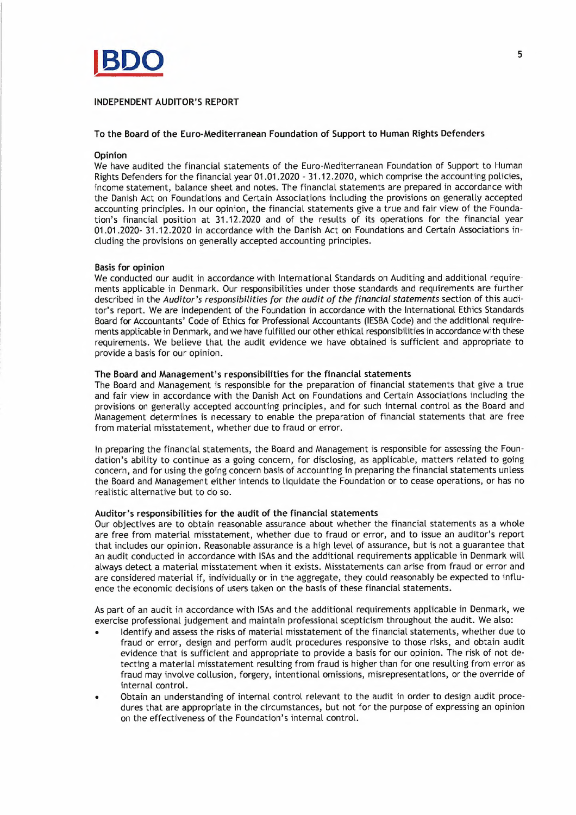

### **INDEPENDENT AUDITOR'S REPORT**

### **To the Board of the Euro-Mediterranean Foundation of Support to Human Rights Defenders**

### **Opinion**

We have audited the financial statements of the Euro-Mediterranean Foundation of Support to Human Rights Defenders for the financial year 01.01.2020 - 31.12.2020, which comprise the accounting policies, income statement, balance sheet and notes. The financial statements are prepared in accordance with the Danish Act on Foundations and Certain Associations including the provisions on generally accepted accounting principles. In our opinion, the financial statements give <sup>a</sup> true and fair view of the Foundation's financial position at 31.12.2020 and of the results of its operations for the financial year 01.01 .2020- 31.12.2020 in accordance with the Danish Act on Foundations and Certain Associations including the provisions on generally accepted accounting principles.

### **Basis for opinion**

We conducted our audit in accordance with International Standards on Auditing and additional requirements applicable in Denmark. Our responsibilities under those standards and requirements are further described in the *Auditor's responsibilities for the audit of the financial statements* section of this auditor's report. We are independent of the Foundation in accordance with the International Ethics Standards Board for Accountants' Code of Ethics for Professional Accountants (IESBA Code) and the additional requirements applicable in Denmark, and we have fulfilled our other ethical responsibilities in accordance with these requirements. We believe that the audit evidence we have obtained is sufficient and appropriate to provide <sup>a</sup> basis for our opinion.

### **The Board and Management's responsibilities for the financial statements**

The Board and Management is responsible for the preparation of financial statements that give <sup>a</sup> true and fair view in accordance with the Danish Act on Foundations and Certain Associations including the provisions on generally accepted accounting principles, and for such internal control as the Board and Management determines is necessary to enable the preparation of financial statements that are free from material misstatement, whether due to fraud or error.

In preparing the financial statements, the Board and Management is responsible for assessing the Foundation's ability to continue as <sup>a</sup> going concern, for disclosing, as applicable, matters related to going concern, and for using the going concern basis of accounting in preparing the financial statements unless the Board and Management either intends to liquidate the Foundation or to cease operations, or has no realistic alternative but to do so.

### **Auditor's responsibilities for the audit of the financial statements**

Our objectives are to obtain reasonable assurance about whether the financial statements as <sup>a</sup> whole are free from material misstatement, whether due to fraud or error, and to issue an auditor's report that includes our opinion. Reasonable assurance is <sup>a</sup> high level of assurance, but is not <sup>a</sup> guarantee that an audit conducted in accordance with ISAs and the additional requirements applicable in Denmark will always detect <sup>a</sup> material misstatement when it exists. Misstatements can arise from fraud or error and are considered material if, individually or in the aggregate, they could reasonably be expected to influence the economic decisions of users taken on the basis of these financial statements.

As part of an audit in accordance with ISAs and the additional requirements applicable in Denmark, we exercise professional judgement and maintain professional scepticism throughout the audit. We also:

- Identify and assess the risks of material misstatement of the financial statements, whether due to fraud or error, design and perform audit procedures responsive to those risks, and obtain audit evidence that is sufficient and appropriate to provide <sup>a</sup> basis for our opinion. The risk of not detecting <sup>a</sup> material misstatement resulting from fraud is higher than for one resulting from error as fraud may involve collusion, forgery, intentional omissions, misrepresentations, or the override of internal control.
- Obtain an understanding of internal control relevant to the audit in order to design audit procedures that are appropriate in the circumstances, but not for the purpose of expressing an opinion on the effectiveness of the Foundation's internal control.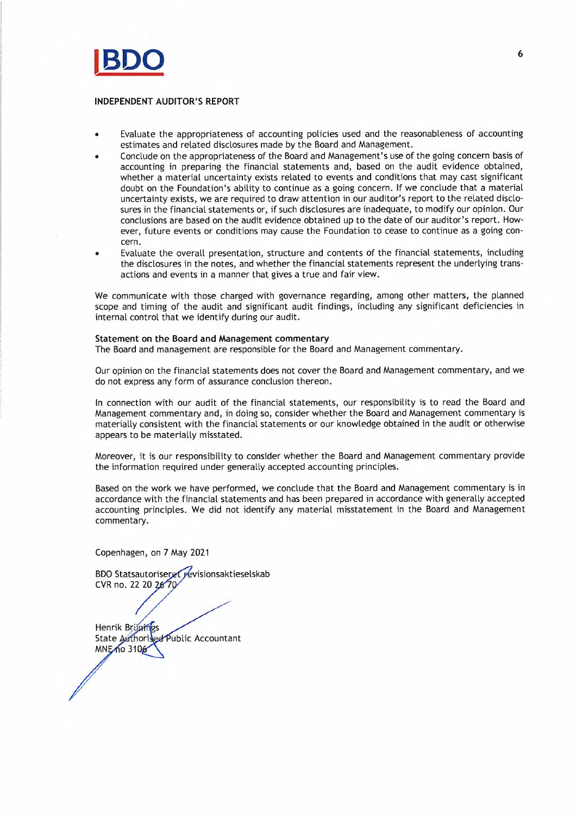

### **INDEPENDENT AUDITOR'S REPORT**

- Evaluate the appropriateness of accounting policies used and the reasonableness of accounting estimates and related disclosures made by the Board and Management.
- Conclude on the appropriateness of the Board and Management's use of the going concern basis of accounting in preparing the financial statements and, based on the audit evidence obtained, whether <sup>a</sup> material uncertainty exists related to events and conditions that may cast significant doubt on the Foundation's ability to continue as <sup>a</sup> going concern. If we conclude that <sup>a</sup> material uncertainty exists, we are required to draw attention in our auditor's report to the related disclosures in the financial statements or, if such disclosures are inadequate, to modify our opinion. Our conclusions are based on the audit evidence obtained up to the date of our auditor's report. However, future events or conditions may cause the Foundation to cease to continue as <sup>a</sup> going concern.
- Evaluate the overall presentation, structure and contents of the financial statements, including the disclosures in the notes, and whether the financial statements represent the underlying transactions and events in <sup>a</sup> manner that gives <sup>a</sup> true and fair view.

We communicate with those charged with governance regarding, among other matters, the planned scope and timing of the audit and significant audit findings, including any significant deficiencies in internal control that we identify during our audit.

### **Statement on the Board and Management commentary**

The Board and management are responsible for the Board and Management commentary.

Our opinion on the financial statements does not cover the Board and Management commentary, and we do not express any form of assurance conclusion thereon.

In connection with our audit of the financial statements, our responsibility is to read the Board and Management commentary and, in doing so, consider whether the Board and Management commentary is materially consistent with the financial statements or our knowledge obtained in the audit or otherwise appears to be materially misstated.

Moreover, it is our responsibility to consider whether the Board and Management commentary provide the information required under generally accepted accounting principles.

Based on the work we have performed, we conclude that the Board and Management commentary is in accordance with the financial statements and has been prepared in accordance with generally accepted accounting principles. We did not identify any material misstatement in the Board and Management commentary.

Copenhagen, on 7 May 2021

BDO Statsautoriseret revisionsaktieselskab CVR no. 22 20 26 70

Henrik Brünings State Authorised Public Accountant **MNE** 10 3106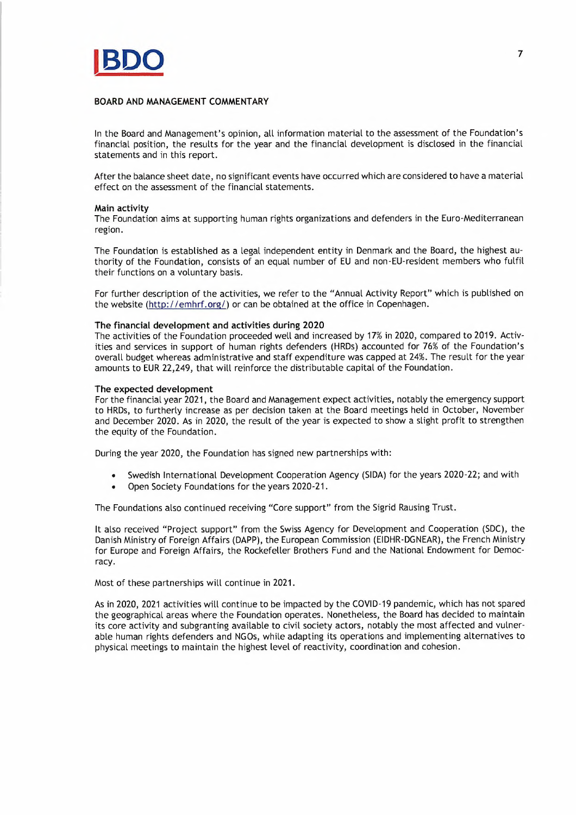

### **BOARD AND MANAGEMENT COMMENTARY**

In the Board and Management's opinion, all information material to the assessment of the Foundation's financial position, the results for the year and the financial development is disclosed in the financial statements and in this report.

After the balance sheet date, no significant events have occurred which are considered to have <sup>a</sup> material effect on the assessment of the financial statements.

### **Main activity**

The Foundation aims at supporting human rights organizations and defenders in the Euro-Mediterranean region.

The Foundation is established as <sup>a</sup> legal independent entity in Denmark and the Board, the highest authority of the Foundation, consists of an equal number of EU and non-EU-resident members who fulfil their functions on <sup>a</sup> voluntary basis.

For further description of the activities, we refer to the "Annual Activity Report" which is published on the website (http:/ /emhrf.org/) or can be obtained at the office in Copenhagen.

### **The financial development and activities during 2020**

The activities of the Foundation proceeded well and increased by 17% in 2020, compared to 2019. Activities and services in support of human rights defenders (HRDs) accounted for 76% of the Foundation's overall budget whereas administrative and staff expenditure was capped at 24%. The result for the year amounts to EUR 22,249, that will reinforce the distributable capital of the Foundation.

### **The expected development**

For the financial year 2021, the Board and Management expect activities, notably the emergency support to HRDs, to furtherly increase as per decision taken at the Board meetings held in October, November and December 2020. As in 2020, the result of the year is expected to show <sup>a</sup> slight profit to strengthen the equity of the Foundation.

During the year 2020, the Foundation has signed new partnerships with:

- Swedish International Development Cooperation Agency (SIDA) for the years 2020-22; and with
- Open Society Foundations for the years 2020-21.

The Foundations also continued receiving "Core support" from the Sigrid Rausing Trust.

It also received "Project support" from the **Swiss** Agency for Development and Cooperation (SOC), the Danish Ministry of Foreign Affairs (DAPP), the European Commission (EIDHR-DGNEAR), the French Ministry for Europe and Foreign Affairs, the Rockefeller Brothers Fund and the National Endowment for Democracy.

Most of these partnerships will continue in 2021.

As in 2020, <sup>2021</sup> activities will continue to be impacted by the COVID-19 pandemic, which has not spared the geographical areas where the Foundation operates. Nonetheless, the Board has decided to maintain its core activity and subgranting available to civil society actors, notably the most affected and vulnerable human rights defenders and NGOs, while adapting its operations and implementing alternatives to physical meetings to maintain the highest level of reactivity, coordination and cohesion.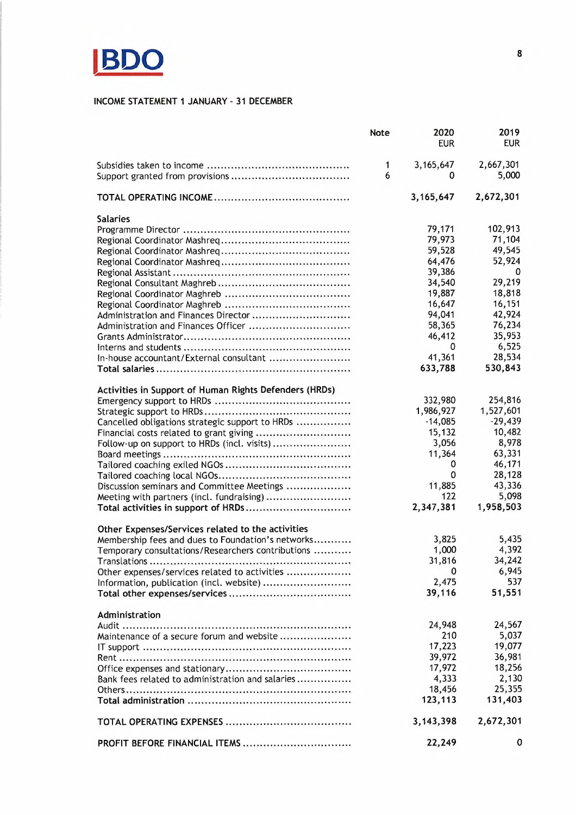

# **INCOME STATEMENT <sup>1</sup> JANUARY - 31 DECEMBER**

|                                                        | <b>Note</b> | 2020<br><b>EUR</b> | 2019<br><b>EUR</b> |
|--------------------------------------------------------|-------------|--------------------|--------------------|
|                                                        | 1<br>6      | 3,165,647<br>0     | 2,667,301<br>5,000 |
|                                                        |             | 3,165,647          | 2,672,301          |
| <b>Salaries</b>                                        |             |                    |                    |
|                                                        |             | 79,171             | 102,913            |
|                                                        |             | 79,973             | 71,104             |
|                                                        |             | 59,528             | 49,545             |
|                                                        |             | 64,476             | 52,924             |
|                                                        |             | 39,386             | 0<br>29,219        |
|                                                        |             | 34,540             | 18,818             |
|                                                        |             | 19,887             |                    |
|                                                        |             | 16,647             | 16,151             |
|                                                        |             | 94,041             | 42,924             |
|                                                        |             | 58,365             | 76,234             |
|                                                        |             | 46,412             | 35,953             |
|                                                        |             | 0                  | 6,525<br>28,534    |
| In-house accountant/External consultant                |             | 41,361             |                    |
|                                                        |             | 633,788            | 530,843            |
| Activities in Support of Human Rights Defenders (HRDs) |             |                    | 254,816            |
|                                                        |             | 332,980            |                    |
|                                                        |             | 1,986,927          | 1,527,601          |
| Cancelled obligations strategic support to HRDs        |             | $-14,085$          | $-29,439$          |
| Financial costs related to grant giving                |             | 15,132             | 10,482             |
| Follow-up on support to HRDs (incl. visits)            |             | 3,056              | 8,978              |
|                                                        |             | 11,364<br>0        | 63,331             |
|                                                        |             | 0                  | 46,171             |
|                                                        |             | 11,885             | 28,128<br>43,336   |
| Discussion seminars and Committee Meetings             |             | 122                | 5,098              |
| Meeting with partners (incl. fundraising)              |             |                    |                    |
|                                                        |             | 2,347,381          | 1,958,503          |
| Other Expenses/Services related to the activities      |             |                    |                    |
| Membership fees and dues to Foundation's networks      |             | 3,825              | 5,435              |
| Temporary consultations/Researchers contributions      |             | 1,000              | 4,392              |
| Translations                                           |             | 31,816             | 34,242             |
| Other expenses/services related to activities          |             | 0                  | 6,945              |
| Information, publication (incl. website)               |             | 2,475              | 537.               |
|                                                        |             | 39,116             | 51,551             |
| Administration                                         |             |                    |                    |
|                                                        |             | 24,948             | 24,567             |
| Maintenance of a secure forum and website              |             | 210                | 5,037              |
|                                                        |             | 17,223             | 19,077             |
|                                                        |             | 39,972             | 36,981             |
|                                                        |             | 17,972             | 18,256             |
| Bank fees related to administration and salaries       |             | 4,333              | 2,130              |
|                                                        |             | 18,456             | 25,355             |
|                                                        |             | 123,113            | 131,403            |
|                                                        |             | 3, 143, 398        | 2,672,301          |
| PROFIT BEFORE FINANCIAL ITEMS                          |             | 22,249             | 0                  |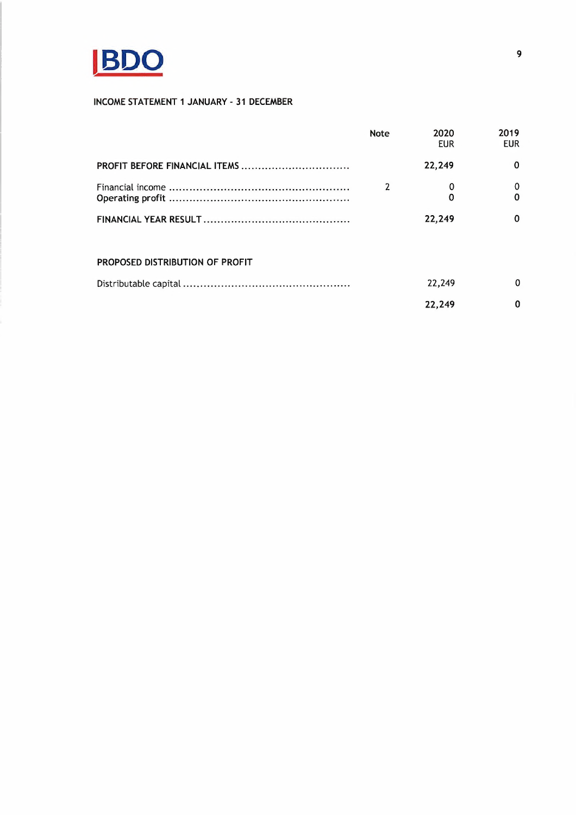

# INCOME STATEMENT <sup>1</sup> JANUARY - 31 DECEMBER

|                                 | <b>Note</b> | 2020<br><b>EUR</b> | 2019<br><b>EUR</b> |
|---------------------------------|-------------|--------------------|--------------------|
|                                 |             | 22,249             | $\Omega$           |
|                                 |             | 0                  | 0<br>$\Omega$      |
|                                 |             | 22,249             | $\Omega$           |
| PROPOSED DISTRIBUTION OF PROFIT |             |                    |                    |
|                                 |             | 22,249             | $\Omega$           |
|                                 |             | 22,249             | 0                  |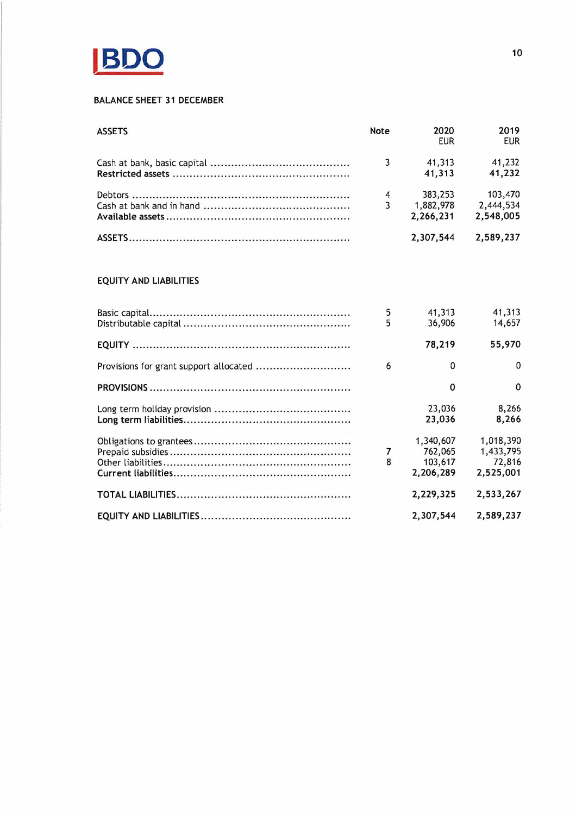

# **BALANCE SHEET 31 DECEMBER**

| <b>ASSETS</b>                 | <b>Note</b>                      | 2020<br><b>EUR</b>                           | 2019<br><b>EUR</b>                            |
|-------------------------------|----------------------------------|----------------------------------------------|-----------------------------------------------|
|                               | 3                                | 41,313<br>41,313                             | 41,232<br>41,232                              |
|                               | $\overline{4}$<br>$\overline{3}$ | 383,253<br>1,882,978<br>2,266,231            | 103,470<br>2,444,534<br>2,548,005             |
|                               |                                  | 2,307,544                                    | 2,589,237                                     |
| <b>EQUITY AND LIABILITIES</b> |                                  |                                              |                                               |
|                               | 5<br>5                           | 41,313<br>36,906                             | 41,313<br>14,657                              |
|                               |                                  | 78,219                                       | 55,970                                        |
|                               | 6                                | 0                                            | 0                                             |
|                               |                                  | $\mathbf 0$                                  | $\mathbf 0$                                   |
|                               |                                  | 23,036<br>23,036                             | 8,266<br>8,266                                |
|                               | 7<br>8                           | 1,340,607<br>762,065<br>103,617<br>2,206,289 | 1,018,390<br>1,433,795<br>72,816<br>2,525,001 |
|                               |                                  | 2,229,325                                    | 2,533,267                                     |
|                               |                                  | 2,307,544                                    | 2,589,237                                     |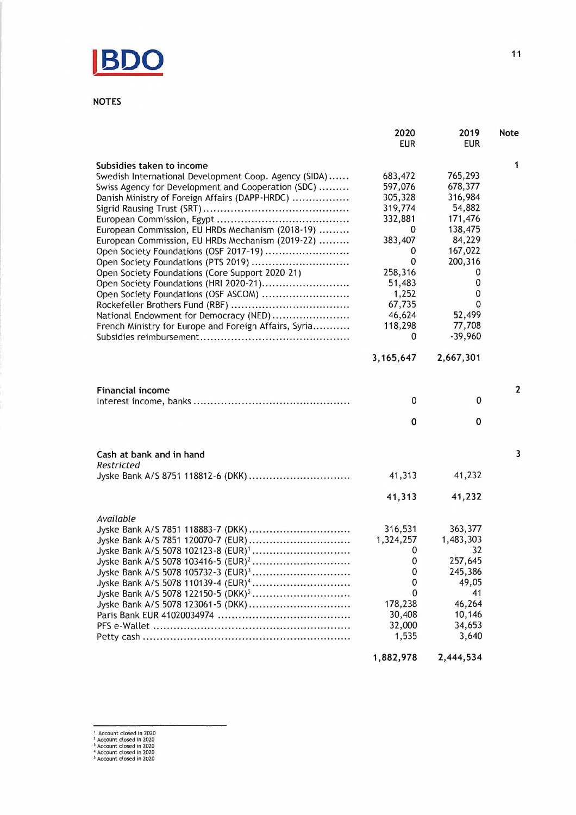

NOTES

|                                                       | 2020<br><b>EUR</b> | 2019<br><b>EUR</b> | <b>Note</b>  |
|-------------------------------------------------------|--------------------|--------------------|--------------|
| Subsidies taken to income                             |                    |                    | 1            |
| Swedish International Development Coop. Agency (SIDA) | 683,472            | 765,293            |              |
| Swiss Agency for Development and Cooperation (SDC)    | 597,076            | 678,377            |              |
| Danish Ministry of Foreign Affairs (DAPP-HRDC)        | 305,328            | 316,984            |              |
|                                                       | 319,774            | 54,882             |              |
|                                                       | 332,881            | 171,476            |              |
|                                                       | 0                  | 138,475            |              |
| European Commission, EU HRDs Mechanism (2018-19)      |                    |                    |              |
| European Commission, EU HRDs Mechanism (2019-22)      | 383,407            | 84,229             |              |
| Open Society Foundations (OSF 2017-19)                | 0                  | 167,022            |              |
| Open Society Foundations (PTS 2019)                   | $\mathbf 0$        | 200,316            |              |
| Open Society Foundations (Core Support 2020-21)       | 258,316            | 0                  |              |
| Open Society Foundations (HRI 2020-21)                | 51,483             | 0                  |              |
| Open Society Foundations (OSF ASCOM)                  | 1,252              | 0                  |              |
|                                                       | 67,735             | 0                  |              |
| National Endowment for Democracy (NED)                | 46,624             | 52,499             |              |
| French Ministry for Europe and Foreign Affairs, Syria | 118,298            | 77,708             |              |
|                                                       | 0                  | $-39,960$          |              |
|                                                       | 3,165,647          | 2,667,301          |              |
|                                                       |                    |                    |              |
| <b>Financial income</b>                               | 0                  | 0                  | $\mathbf{2}$ |
|                                                       |                    |                    |              |
|                                                       | 0                  | $\mathbf 0$        |              |
| Cash at bank and in hand                              |                    |                    | 3            |
| Restricted                                            |                    |                    |              |
| Jyske Bank A/S 8751 118812-6 (DKK)                    | 41,313             | 41,232             |              |
|                                                       | 41,313             | 41,232             |              |
| Available                                             |                    |                    |              |
| Jyske Bank A/S 7851 118883-7 (DKK)                    | 316,531            | 363,377            |              |
|                                                       | 1,324,257          | 1,483,303          |              |
| Jyske Bank A/S 7851 120070-7 (EUR)                    |                    |                    |              |
|                                                       | 0                  | 32                 |              |
|                                                       | $\mathbf 0$        | 257,645            |              |
|                                                       | 0                  | 245,386            |              |
|                                                       | 0                  | 49,05              |              |
|                                                       | 0                  | 41                 |              |
|                                                       | 178,238            | 46,264             |              |
|                                                       | 30,408             | 10,146             |              |
|                                                       | 32,000             | 34,653             |              |
|                                                       | 1,535              | 3,640              |              |
|                                                       | 1,882,978          | 2,444,534          |              |

<sup>1</sup> Account closed in 2020 <sup>2</sup> Account closed in 2020 <sup>3</sup> Account closed in 2020 <sup>4</sup> Account closed in 2020 <sup>5</sup> Account closed in 2020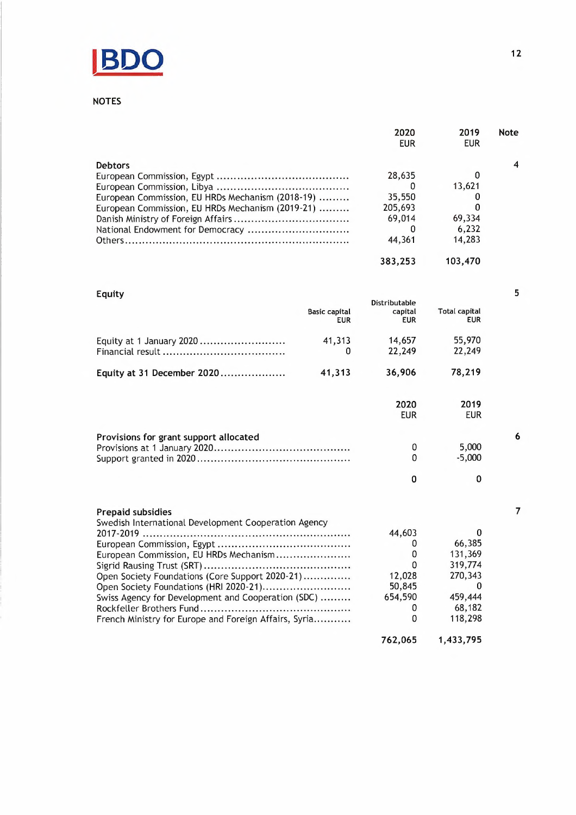

# **NOTES**

|                                                  | 2020<br>EUR | 2019<br><b>EUR</b> | Note |
|--------------------------------------------------|-------------|--------------------|------|
| <b>Debtors</b>                                   |             |                    |      |
|                                                  | 28,635      |                    |      |
|                                                  | O           | 13,621             |      |
| European Commission, EU HRDs Mechanism (2018-19) | 35,550      |                    |      |
| European Commission, EU HRDs Mechanism (2019-21) | 205,693     |                    |      |
|                                                  | 69.014      | 69,334             |      |
|                                                  |             | 6,232              |      |
|                                                  | 44,361      | 14.283             |      |
|                                                  | 383,253     | 103.470            |      |

| Equity                     |                                    |                                        |                             |
|----------------------------|------------------------------------|----------------------------------------|-----------------------------|
|                            | <b>Basic capital</b><br><b>EUR</b> | Distributable<br>capital<br><b>EUR</b> | Total capital<br><b>EUR</b> |
| Equity at 1 January 2020   | 41,313                             | 14,657<br>22,249                       | 55,970<br>22,249            |
| Equity at 31 December 2020 | 41,313                             | 36.906                                 | 78,219                      |
|                            |                                    | 2020                                   | 2019                        |

|                                        | FUR | FUR      |
|----------------------------------------|-----|----------|
| Provisions for grant support allocated |     |          |
|                                        |     | 5.000    |
|                                        |     | $-5.000$ |
|                                        |     |          |

# **Prepaid subsidies**

| 44,603  |           |
|---------|-----------|
| 0       | 66,385    |
| 0       | 131,369   |
| 0       | 319,774   |
| 12,028  | 270,343   |
| 50,845  |           |
| 654.590 | 459,444   |
| 0       | 68,182    |
| 0       | 118,298   |
| 762,065 | 1,433,795 |
|         |           |

5

o o

6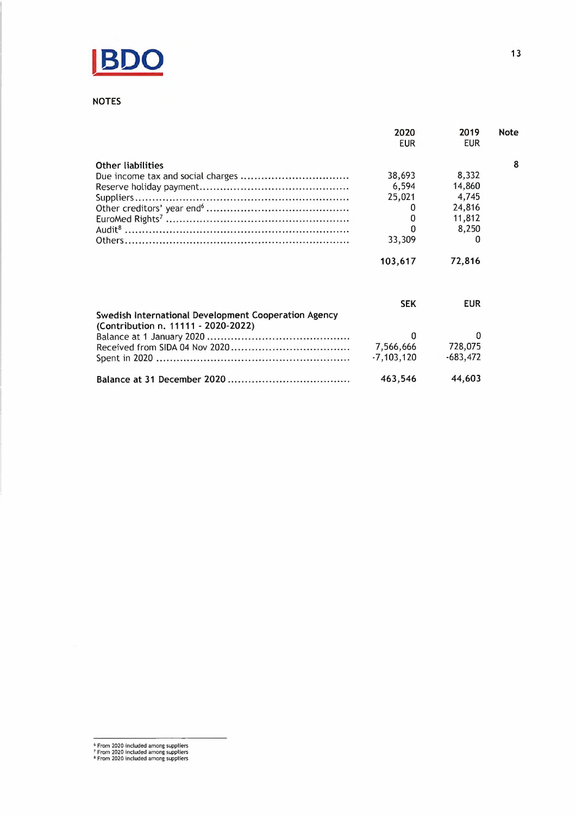

# **NOTES**

|                                                                                             | 2020<br>EUR. | 2019<br><b>EUR</b> | <b>Note</b> |
|---------------------------------------------------------------------------------------------|--------------|--------------------|-------------|
| <b>Other liabilities</b>                                                                    |              |                    | 8           |
|                                                                                             | 38,693       | 8,332              |             |
|                                                                                             | 6,594        | 14,860             |             |
|                                                                                             | 25,021       | 4,745              |             |
|                                                                                             | 0            | 24,816             |             |
|                                                                                             | 0            | 11,812             |             |
|                                                                                             | n            | 8,250              |             |
|                                                                                             | 33,309       | n                  |             |
|                                                                                             | 103,617      | 72,816             |             |
|                                                                                             | <b>SEK</b>   | <b>EUR</b>         |             |
| Swedish International Development Cooperation Agency<br>(Contribution n. 11111 - 2020-2022) |              |                    |             |
|                                                                                             | 0            | n                  |             |
|                                                                                             | 7,566,666    | 728,075            |             |
|                                                                                             | $-7,103,120$ | $-683,472$         |             |
|                                                                                             | 463,546      | 44,603             |             |

- <sup>6</sup> From 2020 included among suppliers<br><sup>7</sup> From 2020 included among suppliers<br><sup>8</sup> From 2020 included among suppliers
- 
-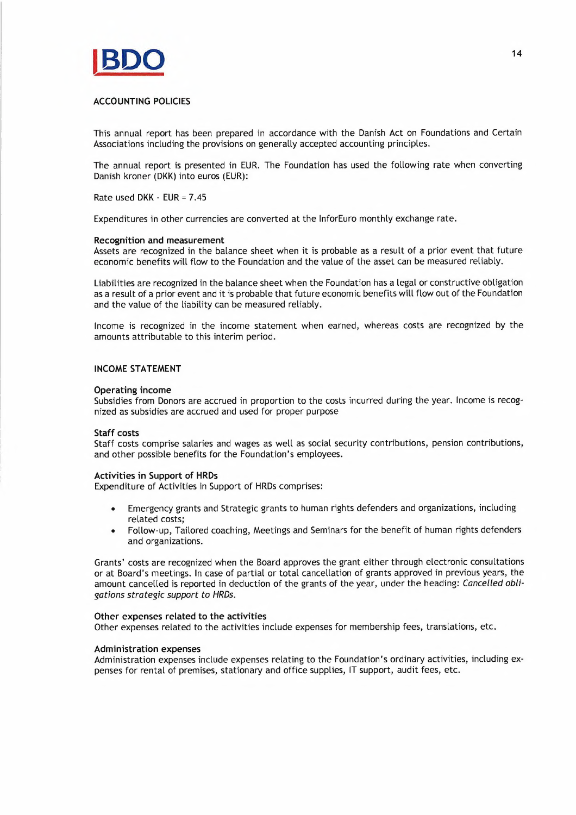

### **ACCOUNTING POLICIES**

This annual report has been prepared in accordance with the Danish Act on Foundations and Certain Associations including the provisions on generally accepted accounting principles.

The annual report is presented in EUR. The Foundation has used the following rate when converting Danish kroner (DKK) into euros (EUR):

Rate used DKK - EUR= 7.45

Expenditures in other currencies are converted at the lnforEuro monthly exchange rate.

### **Recognition and measurement**

Assets are recognized in the balance sheet when it is probable as <sup>a</sup> result of <sup>a</sup> prior event that future economic benefits will flow to the Foundation and the value of the asset can be measured reliably.

Liabilities are recognized in the balance sheet when the Foundation has <sup>a</sup> legal or constructive obligation as <sup>a</sup> result of <sup>a</sup> prior event and it is probable that future economic benefits will flow out of the Foundation and the value of the liability can be measured reliably.

Income is recognized in the income statement when earned, whereas costs are recognized by the amounts attributable to this interim period.

### **INCOME STATEMENT**

### **Operating income**

Subsidies from Donors are accrued in proportion to the costs incurred during the year. Income is recognized as subsidies are accrued and used for proper purpose

### **Staff costs**

Staff costs comprise salaries and wages as well as social security contributions, pension contributions, and other possible benefits for the Foundation's employees.

#### **Activities in Support of HRDs**

Expenditure of Activities in Support of HRDs comprises:

- Emergency grants and Strategic grants to human rights defenders and organizations, including related costs;
- Follow-up, Tailored coaching, Meetings and Seminars for the benefit of human rights defenders and organizations.

Grants' costs are recognized when the Board approves the grant either through electronic consultations or at Board's meetings. In case of partial or total cancellation of grants approved in previous years, the amount cancelled is reported in deduction of the grants of the year, under the heading: *Cancelled obligations strategic support to HRDs.*

### **Other expenses related to the activities**

Other expenses related to the activities include expenses for membership fees, translations, etc.

#### **Administration expenses**

Administration expenses include expenses relating to the Foundation's ordinary activities, including expenses for rental of premises, stationary and office supplies, IT support, audit fees, etc.